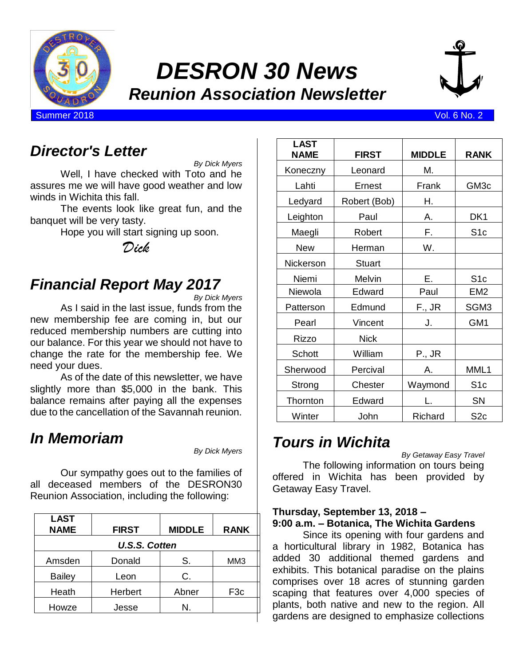

# *DESRON 30 News Reunion Association Newsletter*



#### Summer 2018 Vol. 6 No. 2

# *Director's Letter*

*By Dick Myers* Well, I have checked with Toto and he assures me we will have good weather and low winds in Wichita this fall.

The events look like great fun, and the banquet will be very tasty.

Hope you will start signing up soon.

*Dick*

# *Financial Report May 2017*

*By Dick Myers*

As I said in the last issue, funds from the new membership fee are coming in, but our reduced membership numbers are cutting into our balance. For this year we should not have to change the rate for the membership fee. We need your dues.

As of the date of this newsletter, we have slightly more than \$5,000 in the bank. This balance remains after paying all the expenses due to the cancellation of the Savannah reunion.

# *In Memoriam*

*By Dick Myers*

Our sympathy goes out to the families of all deceased members of the DESRON30 Reunion Association, including the following:

| <b>LAST</b><br><b>NAME</b> | <b>FIRST</b>         | <b>MIDDLE</b> | <b>RANK</b>     |
|----------------------------|----------------------|---------------|-----------------|
|                            | <b>U.S.S. Cotten</b> |               |                 |
| Amsden                     | Donald               | S.            | MM <sub>3</sub> |
| <b>Bailey</b>              | Leon                 | C.            |                 |
| Heath                      | Herbert              | Abner         | F3c             |
| Howze                      | Jesse                | N.            |                 |

| <b>LAST</b><br><b>NAME</b> | <b>FIRST</b> | <b>MIDDLE</b> | <b>RANK</b>      |
|----------------------------|--------------|---------------|------------------|
| Koneczny                   | Leonard      | М.            |                  |
| Lahti                      | Ernest       | Frank         | GM <sub>3c</sub> |
| Ledyard                    | Robert (Bob) | Н.            |                  |
| Leighton                   | Paul         | А.            | DK1              |
| Maegli                     | Robert       | F.            | S <sub>1c</sub>  |
| <b>New</b>                 | Herman       | W.            |                  |
| Nickerson                  | Stuart       |               |                  |
| Niemi                      | Melvin       | Е.            | S1c              |
| Niewola                    | Edward       | Paul          | EM <sub>2</sub>  |
| Patterson                  | Edmund       | F., JR        | SGM3             |
| Pearl                      | Vincent      | J.            | GM1              |
| Rizzo                      | <b>Nick</b>  |               |                  |
| Schott                     | William      | <b>P., JR</b> |                  |
| Sherwood                   | Percival     | А.            | MML1             |
| Strong                     | Chester      | Waymond       | S <sub>1c</sub>  |
| Thornton                   | Edward       |               | SN               |
| Winter                     | John         | Richard       | S <sub>2c</sub>  |

# *Tours in Wichita*

*By Getaway Easy Travel* The following information on tours being offered in Wichita has been provided by Getaway Easy Travel.

### **Thursday, September 13, 2018 – 9:00 a.m. – Botanica, The Wichita Gardens**

Since its opening with four gardens and a horticultural library in 1982, Botanica has added 30 additional themed gardens and exhibits. This botanical paradise on the plains comprises over 18 acres of stunning garden scaping that features over 4,000 species of plants, both native and new to the region. All gardens are designed to emphasize collections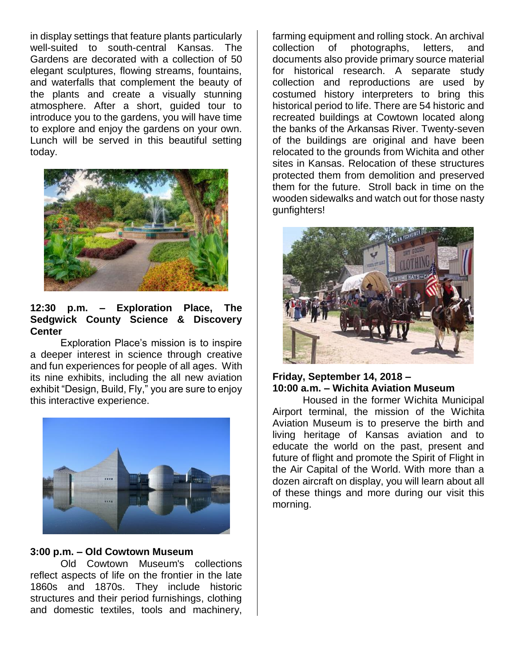in display settings that feature plants particularly well-suited to south-central Kansas. The Gardens are decorated with a collection of 50 elegant sculptures, flowing streams, fountains, and waterfalls that complement the beauty of the plants and create a visually stunning atmosphere. After a short, guided tour to introduce you to the gardens, you will have time to explore and enjoy the gardens on your own. Lunch will be served in this beautiful setting today.



### **12:30 p.m. – Exploration Place, The Sedgwick County Science & Discovery Center**

Exploration Place's mission is to inspire a deeper interest in science through creative and fun experiences for people of all ages. With its nine exhibits, including the all new aviation exhibit "Design, Build, Fly," you are sure to enjoy this interactive experience.



### **3:00 p.m. – Old Cowtown Museum**

Old Cowtown Museum's collections reflect aspects of life on the frontier in the late 1860s and 1870s. They include historic structures and their period furnishings, clothing and domestic textiles, tools and machinery,

farming equipment and rolling stock. An archival collection of photographs, letters, and documents also provide primary source material for historical research. A separate study collection and reproductions are used by costumed history interpreters to bring this historical period to life. There are 54 historic and recreated buildings at Cowtown located along the banks of the Arkansas River. Twenty-seven of the buildings are original and have been relocated to the grounds from Wichita and other sites in Kansas. Relocation of these structures protected them from demolition and preserved them for the future. Stroll back in time on the wooden sidewalks and watch out for those nasty gunfighters!



### **Friday, September 14, 2018 – 10:00 a.m. – Wichita Aviation Museum**

Housed in the former Wichita Municipal Airport terminal, the mission of the Wichita Aviation Museum is to preserve the birth and living heritage of Kansas aviation and to educate the world on the past, present and future of flight and promote the Spirit of Flight in the Air Capital of the World. With more than a dozen aircraft on display, you will learn about all of these things and more during our visit this morning.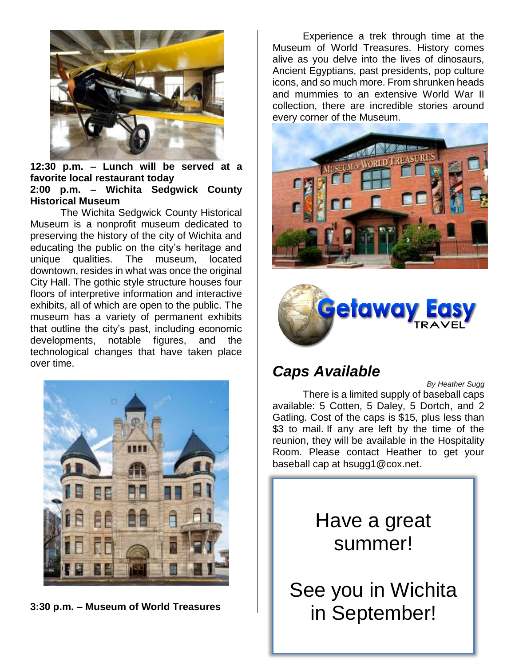

**12:30 p.m. – Lunch will be served at a favorite local restaurant today 2:00 p.m. – Wichita Sedgwick County Historical Museum**

The Wichita Sedgwick County Historical Museum is a nonprofit museum dedicated to preserving the history of the city of Wichita and educating the public on the city's heritage and unique qualities. The museum, located downtown, resides in what was once the original City Hall. The gothic style structure houses four floors of interpretive information and interactive exhibits, all of which are open to the public. The museum has a variety of permanent exhibits that outline the city's past, including economic developments, notable figures, and the technological changes that have taken place over time.



**3:30 p.m. – Museum of World Treasures**

Experience a trek through time at the Museum of World Treasures. History comes alive as you delve into the lives of dinosaurs, Ancient Egyptians, past presidents, pop culture icons, and so much more. From shrunken heads and mummies to an extensive World War II collection, there are incredible stories around every corner of the Museum.





# *Caps Available*

*By Heather Sugg* There is a limited supply of baseball caps available: 5 Cotten, 5 Daley, 5 Dortch, and 2 Gatling. Cost of the caps is \$15, plus less than \$3 to mail. If any are left by the time of the reunion, they will be available in the Hospitality Room. Please contact Heather to get your baseball cap at hsugg1@cox.net.

# Have a great summer!

See you in Wichita in September!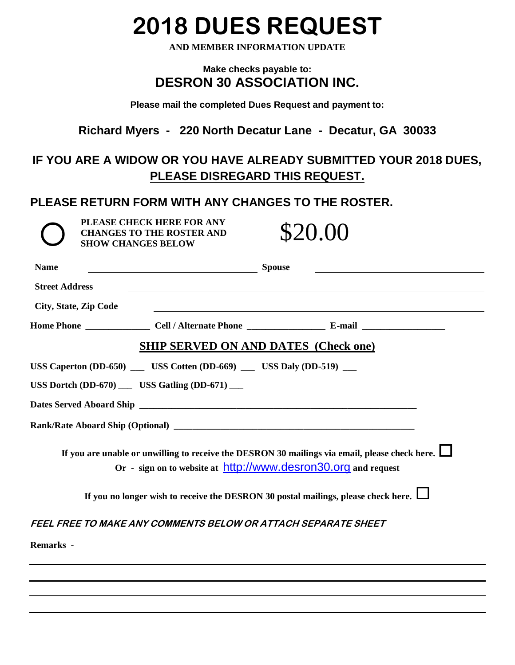# **2018 DUES REQUEST**

**AND MEMBER INFORMATION UPDATE**

### **Make checks payable to: DESRON 30 ASSOCIATION INC.**

**Please mail the completed Dues Request and payment to:**

### **Richard Myers - 220 North Decatur Lane - Decatur, GA 30033**

### **IF YOU ARE A WIDOW OR YOU HAVE ALREADY SUBMITTED YOUR 2018 DUES, PLEASE DISREGARD THIS REQUEST.**

### **PLEASE RETURN FORM WITH ANY CHANGES TO THE ROSTER.**

| <b>Name</b>                  | <b>Spouse</b><br><u> 1989 - Johann Barn, fransk politik fotograf (d. 1989)</u>                                                                                   |
|------------------------------|------------------------------------------------------------------------------------------------------------------------------------------------------------------|
| <b>Street Address</b>        |                                                                                                                                                                  |
| <b>City, State, Zip Code</b> | <u> 1989 - Johann Stoff, amerikansk politiker (* 1908)</u>                                                                                                       |
|                              |                                                                                                                                                                  |
|                              | <b>SHIP SERVED ON AND DATES (Check one)</b>                                                                                                                      |
|                              | USS Caperton $(DD-650)$ USS Cotten $(DD-669)$ USS Daly $(DD-519)$ __                                                                                             |
|                              | USS Dortch $(DD-670)$ _____ USS Gatling $(DD-671)$ _____                                                                                                         |
|                              |                                                                                                                                                                  |
|                              |                                                                                                                                                                  |
|                              | If you are unable or unwilling to receive the DESRON 30 mailings via email, please check here.<br>Or - sign on to website at http://www.desron30.org and request |
|                              | If you no longer wish to receive the DESRON 30 postal mailings, please check here. $\Box$                                                                        |
|                              | FEEL FREE TO MAKE ANY COMMENTS BELOW OR ATTACH SEPARATE SHEET                                                                                                    |
| <b>Remarks</b> -             |                                                                                                                                                                  |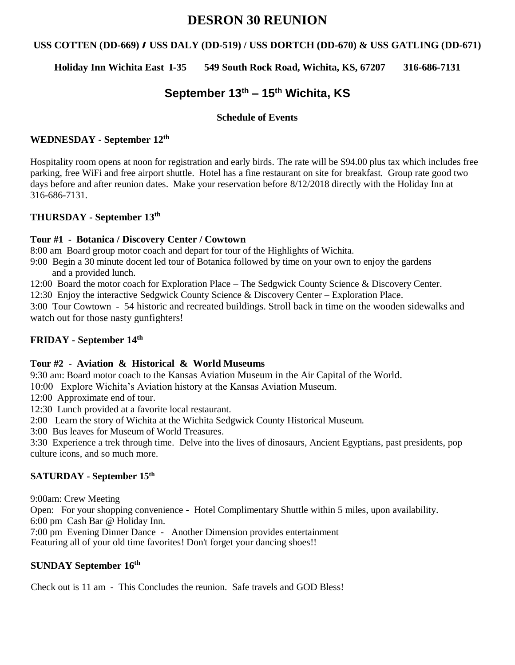### **DESRON 30 REUNION**

#### **USS COTTEN (DD-669)** *I* **USS DALY (DD-519) / USS DORTCH (DD-670) & USS GATLING (DD-671)**

**Holiday Inn Wichita East I-35 549 South Rock Road, Wichita, KS, 67207 316-686-7131**

### **September 13th – 15th Wichita, KS**

### **Schedule of Events**

### **WEDNESDAY - September 12 th**

Hospitality room opens at noon for registration and early birds. The rate will be \$94.00 plus tax which includes free parking, free WiFi and free airport shuttle. Hotel has a fine restaurant on site for breakfast. Group rate good two days before and after reunion dates. Make your reservation before 8/12/2018 directly with the Holiday Inn at 316-686-7131.

### **THURSDAY - September 13 th**

#### **Tour #1 - Botanica / Discovery Center / Cowtown**

8:00 am Board group motor coach and depart for tour of the Highlights of Wichita.

9:00 Begin a 30 minute docent led tour of Botanica followed by time on your own to enjoy the gardens and a provided lunch.

12:00 Board the motor coach for Exploration Place – The Sedgwick County Science & Discovery Center.

12:30 Enjoy the interactive Sedgwick County Science & Discovery Center – Exploration Place.

3:00 Tour Cowtown - 54 historic and recreated buildings. Stroll back in time on the wooden sidewalks and watch out for those nasty gunfighters!

### **FRIDAY - September 14th**

### **Tour #2** - **Aviation & Historical & World Museums**

9:30 am: Board motor coach to the Kansas Aviation Museum in the Air Capital of the World.

- 10:00 Explore Wichita's Aviation history at the Kansas Aviation Museum.
- 12:00 Approximate end of tour.
- 12:30 Lunch provided at a favorite local restaurant.
- 2:00 Learn the story of Wichita at the Wichita Sedgwick County Historical Museum.
- 3:00 Bus leaves for Museum of World Treasures.

3:30 Experience a trek through time. Delve into the lives of dinosaurs, Ancient Egyptians, past presidents, pop culture icons, and so much more.

### **SATURDAY - September 15 th**

9:00am: Crew Meeting Open: For your shopping convenience - Hotel Complimentary Shuttle within 5 miles, upon availability. 6:00 pm Cash Bar @ Holiday Inn. 7:00 pm Evening Dinner Dance - Another Dimension provides entertainment Featuring all of your old time favorites! Don't forget your dancing shoes!!

### **SUNDAY September 16th**

Check out is 11 am - This Concludes the reunion. Safe travels and GOD Bless!